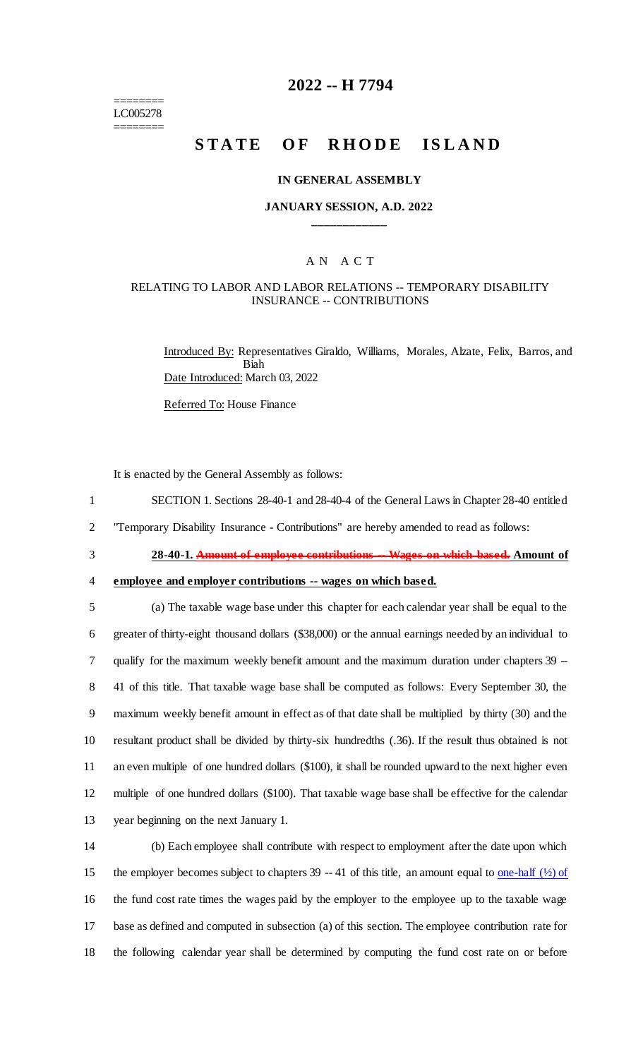======== LC005278 ========

## **2022 -- H 7794**

# **STATE OF RHODE ISLAND**

#### **IN GENERAL ASSEMBLY**

#### **JANUARY SESSION, A.D. 2022 \_\_\_\_\_\_\_\_\_\_\_\_**

# A N A C T

### RELATING TO LABOR AND LABOR RELATIONS -- TEMPORARY DISABILITY INSURANCE -- CONTRIBUTIONS

Introduced By: Representatives Giraldo, Williams, Morales, Alzate, Felix, Barros, and Biah Date Introduced: March 03, 2022

Referred To: House Finance

It is enacted by the General Assembly as follows:

- 1 SECTION 1. Sections 28-40-1 and 28-40-4 of the General Laws in Chapter 28-40 entitled
- 2 "Temporary Disability Insurance Contributions" are hereby amended to read as follows:
- 

3 **28-40-1. Amount of employee contributions -- Wages on which based. Amount of** 

4 **employee and employer contributions -- wages on which based.**

 (a) The taxable wage base under this chapter for each calendar year shall be equal to the greater of thirty-eight thousand dollars (\$38,000) or the annual earnings needed by an individual to 7 qualify for the maximum weekly benefit amount and the maximum duration under chapters 39 -- 41 of this title. That taxable wage base shall be computed as follows: Every September 30, the maximum weekly benefit amount in effect as of that date shall be multiplied by thirty (30) and the resultant product shall be divided by thirty-six hundredths (.36). If the result thus obtained is not an even multiple of one hundred dollars (\$100), it shall be rounded upward to the next higher even multiple of one hundred dollars (\$100). That taxable wage base shall be effective for the calendar year beginning on the next January 1.

 (b) Each employee shall contribute with respect to employment after the date upon which 15 the employer becomes subject to chapters 39 -- 41 of this title, an amount equal to <u>one-half  $(\frac{1}{2})$  of</u> the fund cost rate times the wages paid by the employer to the employee up to the taxable wage base as defined and computed in subsection (a) of this section. The employee contribution rate for the following calendar year shall be determined by computing the fund cost rate on or before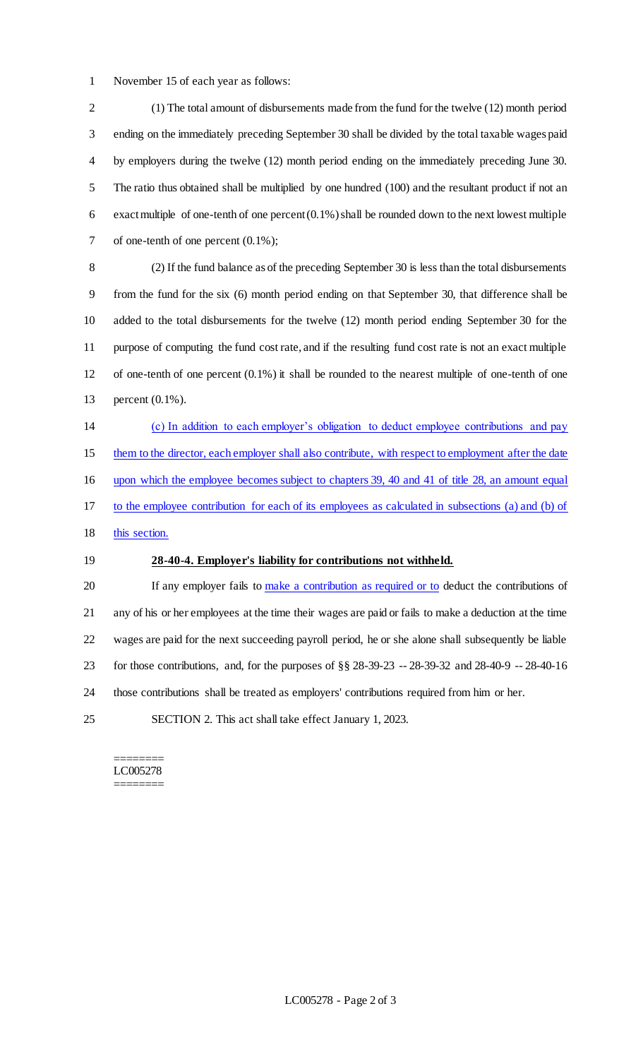November 15 of each year as follows:

 (1) The total amount of disbursements made from the fund for the twelve (12) month period ending on the immediately preceding September 30 shall be divided by the total taxable wages paid by employers during the twelve (12) month period ending on the immediately preceding June 30. The ratio thus obtained shall be multiplied by one hundred (100) and the resultant product if not an exact multiple of one-tenth of one percent (0.1%) shall be rounded down to the next lowest multiple of one-tenth of one percent (0.1%);

 (2) If the fund balance as of the preceding September 30 is less than the total disbursements from the fund for the six (6) month period ending on that September 30, that difference shall be added to the total disbursements for the twelve (12) month period ending September 30 for the purpose of computing the fund cost rate, and if the resulting fund cost rate is not an exact multiple of one-tenth of one percent (0.1%) it shall be rounded to the nearest multiple of one-tenth of one percent (0.1%).

 (c) In addition to each employer's obligation to deduct employee contributions and pay 15 them to the director, each employer shall also contribute, with respect to employment after the date upon which the employee becomes subject to chapters 39, 40 and 41 of title 28, an amount equal to the employee contribution for each of its employees as calculated in subsections (a) and (b) of 18 this section.

#### **28-40-4. Employer's liability for contributions not withheld.**

20 If any employer fails to make a contribution as required or to deduct the contributions of any of his or her employees at the time their wages are paid or fails to make a deduction at the time wages are paid for the next succeeding payroll period, he or she alone shall subsequently be liable for those contributions, and, for the purposes of §§ 28-39-23 -- 28-39-32 and 28-40-9 -- 28-40-16 those contributions shall be treated as employers' contributions required from him or her.

SECTION 2. This act shall take effect January 1, 2023.

======== LC005278 ========